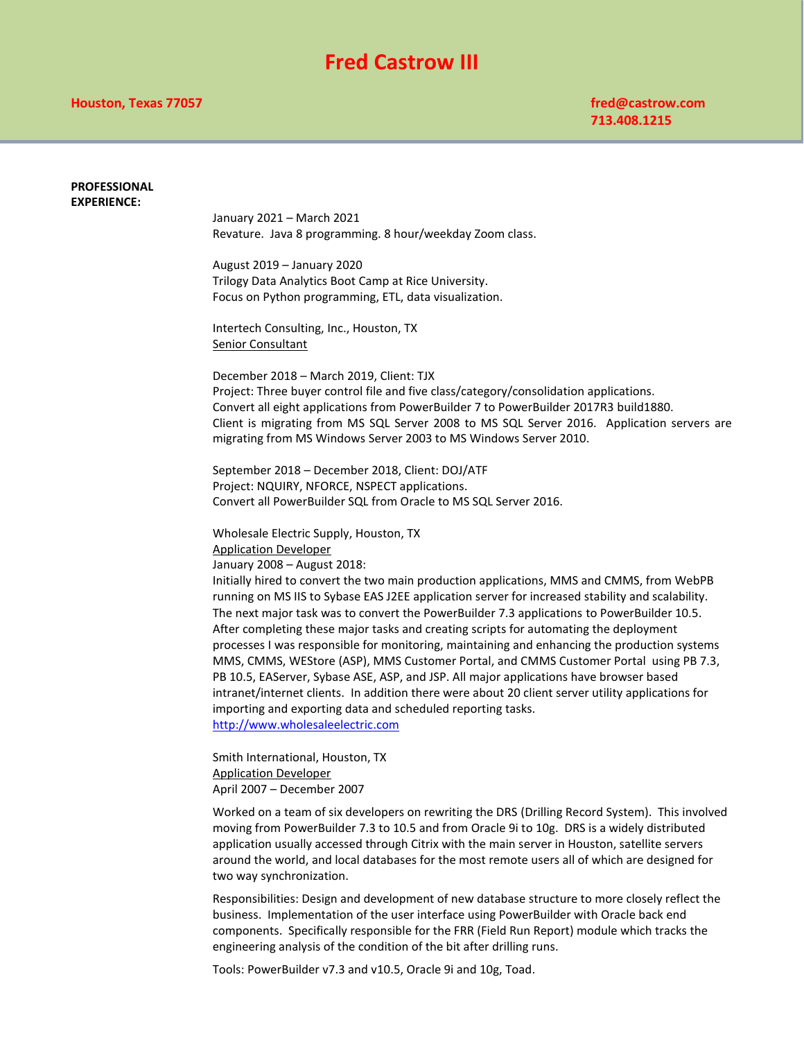## **Fred Castrow III**

## **PROFESSIONAL EXPERIENCE:** January 2021 – March 2021 Revature. Java 8 programming. 8 hour/weekday Zoom class. August 2019 – January 2020 Trilogy Data Analytics Boot Camp at Rice University. Focus on Python programming, ETL, data visualization. Intertech Consulting, Inc., Houston, TX Senior Consultant December 2018 – March 2019, Client: TJX Project: Three buyer control file and five class/category/consolidation applications. Convert all eight applications from PowerBuilder 7 to PowerBuilder 2017R3 build1880. Client is migrating from MS SQL Server 2008 to MS SQL Server 2016. Application servers are migrating from MS Windows Server 2003 to MS Windows Server 2010. September 2018 – December 2018, Client: DOJ/ATF Project: NQUIRY, NFORCE, NSPECT applications. Convert all PowerBuilder SQL from Oracle to MS SQL Server 2016. Wholesale Electric Supply, Houston, TX Application Developer January 2008 – August 2018: Initially hired to convert the two main production applications, MMS and CMMS, from WebPB running on MS IIS to Sybase EAS J2EE application server for increased stability and scalability. The next major task was to convert the PowerBuilder 7.3 applications to PowerBuilder 10.5. After completing these major tasks and creating scripts for automating the deployment processes I was responsible for monitoring, maintaining and enhancing the production systems MMS, CMMS, WEStore (ASP), MMS Customer Portal, and CMMS Customer Portal using PB 7.3, PB 10.5, EAServer, Sybase ASE, ASP, and JSP. All major applications have browser based intranet/internet clients. In addition there were about 20 client server utility applications for importing and exporting data and scheduled reporting tasks. [http://www.wholesaleelectric.com](http://www.wholesaleelectric.com/) Smith International, Houston, TX Application Developer April 2007 – December 2007 Worked on a team of six developers on rewriting the DRS (Drilling Record System). This involved moving from PowerBuilder 7.3 to 10.5 and from Oracle 9i to 10g. DRS is a widely distributed application usually accessed through Citrix with the main server in Houston, satellite servers around the world, and local databases for the most remote users all of which are designed for

Responsibilities: Design and development of new database structure to more closely reflect the business. Implementation of the user interface using PowerBuilder with Oracle back end components. Specifically responsible for the FRR (Field Run Report) module which tracks the engineering analysis of the condition of the bit after drilling runs.

Tools: PowerBuilder v7.3 and v10.5, Oracle 9i and 10g, Toad.

two way synchronization.